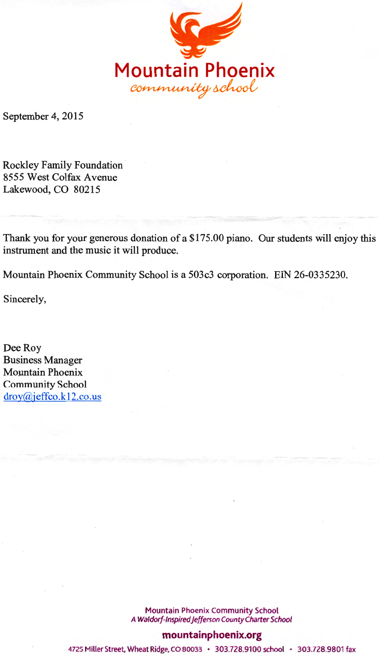

September 4, 2015

Rockley Family Foundation 8555 West Colfax Avenue Lakewood, CO 80215

Thank you for your generous donation of a \$175.00 piano. Our students will enjoy this instrument and the music it will produce.

Mountain Phoenix Community School is a 503c3 corporation. EIN 26-0335230.

Sincerely,

Dee Roy Business Manager Mountain Phoenix Community School  $\frac{d}{d}$ roy@jeffco.k12.co.us

> Mountain Phoenix Community School A Waldorf-Inspired jefferson County Charter School

## **mountainphoenix.org**

4725 Miller Street, Wheat Ridge, CO 80033 • 303.728.9100 school • 303.728.9801 fax